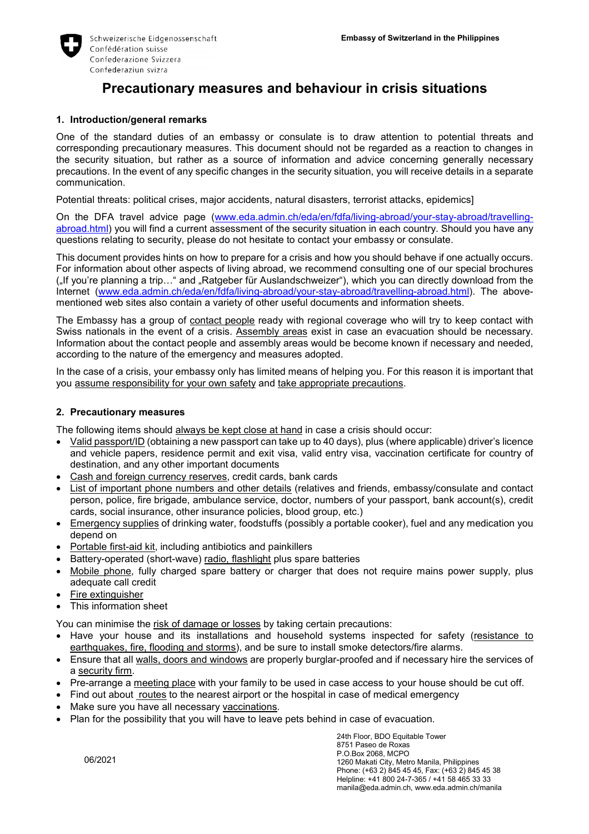

# **Precautionary measures and behaviour in crisis situations**

## **1. Introduction/general remarks**

One of the standard duties of an embassy or consulate is to draw attention to potential threats and corresponding precautionary measures. This document should not be regarded as a reaction to changes in the security situation, but rather as a source of information and advice concerning generally necessary precautions. In the event of any specific changes in the security situation, you will receive details in a separate communication.

Potential threats: political crises, major accidents, natural disasters, terrorist attacks, epidemics]

On the DFA travel advice page (www.eda.admin.ch/eda/en/fdfa/living-abroad/your-stay-abroad/travellingabroad.html) you will find a current assessment of the security situation in each country. Should you have any questions relating to security, please do not hesitate to contact your embassy or consulate.

This document provides hints on how to prepare for a crisis and how you should behave if one actually occurs. For information about other aspects of living abroad, we recommend consulting one of our special brochures ("If you're planning a trip…" and "Ratgeber für Auslandschweizer"), which you can directly download from the Internet (www.eda.admin.ch/eda/en/fdfa/living-abroad/your-stay-abroad/travelling-abroad.html). The abovementioned web sites also contain a variety of other useful documents and information sheets.

The Embassy has a group of contact people ready with regional coverage who will try to keep contact with Swiss nationals in the event of a crisis. Assembly areas exist in case an evacuation should be necessary. Information about the contact people and assembly areas would be become known if necessary and needed, according to the nature of the emergency and measures adopted.

In the case of a crisis, your embassy only has limited means of helping you. For this reason it is important that you assume responsibility for your own safety and take appropriate precautions.

#### **2. Precautionary measures**

The following items should always be kept close at hand in case a crisis should occur:

- Valid passport/ID (obtaining a new passport can take up to 40 days), plus (where applicable) driver's licence and vehicle papers, residence permit and exit visa, valid entry visa, vaccination certificate for country of destination, and any other important documents
- Cash and foreign currency reserves, credit cards, bank cards
- List of important phone numbers and other details (relatives and friends, embassy/consulate and contact person, police, fire brigade, ambulance service, doctor, numbers of your passport, bank account(s), credit cards, social insurance, other insurance policies, blood group, etc.)
- Emergency supplies of drinking water, foodstuffs (possibly a portable cooker), fuel and any medication you depend on
- Portable first-aid kit, including antibiotics and painkillers
- Battery-operated (short-wave) radio, flashlight plus spare batteries
- Mobile phone, fully charged spare battery or charger that does not require mains power supply, plus adequate call credit
- Fire extinguisher
- This information sheet

You can minimise the risk of damage or losses by taking certain precautions:

- Have your house and its installations and household systems inspected for safety (resistance to earthquakes, fire, flooding and storms), and be sure to install smoke detectors/fire alarms.
- Ensure that all walls, doors and windows are properly burglar-proofed and if necessary hire the services of a security firm.
- Pre-arrange a meeting place with your family to be used in case access to your house should be cut off.
- Find out about routes to the nearest airport or the hospital in case of medical emergency
- Make sure you have all necessary vaccinations.
- Plan for the possibility that you will have to leave pets behind in case of evacuation.

06/2021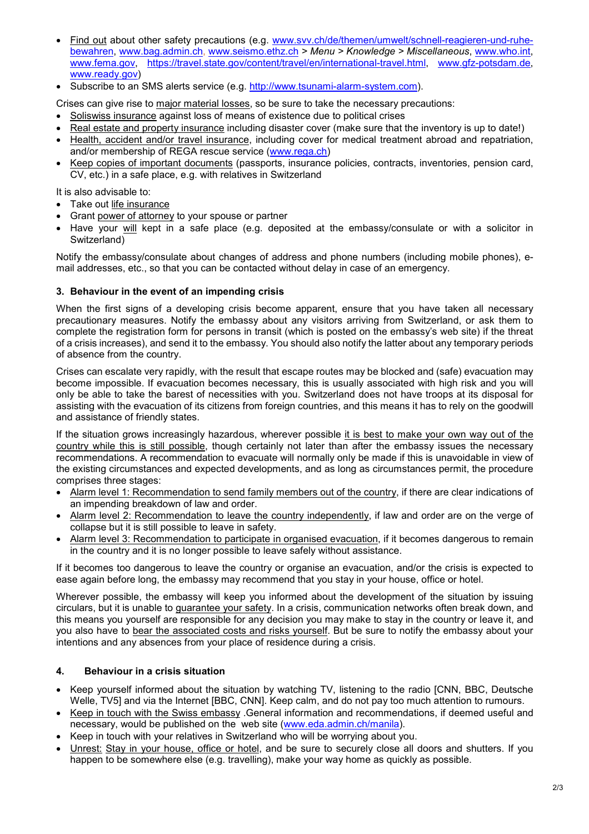- Find out about other safety precautions (e.g. www.svv.ch/de/themen/umwelt/schnell-reagieren-und-ruhebewahren, www.bag.admin.ch, www.seismo.ethz.ch *> Menu > Knowledge > Miscellaneous*, www.who.int, www.fema.gov, https://travel.state.gov/content/travel/en/international-travel.html, www.gfz-potsdam.de, www.ready.gov)
- Subscribe to an SMS alerts service (e.g. http://www.tsunami-alarm-system.com).

Crises can give rise to major material losses, so be sure to take the necessary precautions:

- Soliswiss insurance against loss of means of existence due to political crises
- Real estate and property insurance including disaster cover (make sure that the inventory is up to date!)
- Health, accident and/or travel insurance, including cover for medical treatment abroad and repatriation, and/or membership of REGA rescue service (www.rega.ch)
- Keep copies of important documents (passports, insurance policies, contracts, inventories, pension card, CV, etc.) in a safe place, e.g. with relatives in Switzerland

It is also advisable to:

- Take out life insurance
- Grant power of attorney to your spouse or partner
- Have your will kept in a safe place (e.g. deposited at the embassy/consulate or with a solicitor in Switzerland)

Notify the embassy/consulate about changes of address and phone numbers (including mobile phones), email addresses, etc., so that you can be contacted without delay in case of an emergency.

#### **3. Behaviour in the event of an impending crisis**

When the first signs of a developing crisis become apparent, ensure that you have taken all necessary precautionary measures. Notify the embassy about any visitors arriving from Switzerland, or ask them to complete the registration form for persons in transit (which is posted on the embassy's web site) if the threat of a crisis increases), and send it to the embassy. You should also notify the latter about any temporary periods of absence from the country.

Crises can escalate very rapidly, with the result that escape routes may be blocked and (safe) evacuation may become impossible. If evacuation becomes necessary, this is usually associated with high risk and you will only be able to take the barest of necessities with you. Switzerland does not have troops at its disposal for assisting with the evacuation of its citizens from foreign countries, and this means it has to rely on the goodwill and assistance of friendly states.

If the situation grows increasingly hazardous, wherever possible it is best to make your own way out of the country while this is still possible, though certainly not later than after the embassy issues the necessary recommendations. A recommendation to evacuate will normally only be made if this is unavoidable in view of the existing circumstances and expected developments, and as long as circumstances permit, the procedure comprises three stages:

- Alarm level 1: Recommendation to send family members out of the country, if there are clear indications of an impending breakdown of law and order.
- Alarm level 2: Recommendation to leave the country independently, if law and order are on the verge of collapse but it is still possible to leave in safety.
- Alarm level 3: Recommendation to participate in organised evacuation, if it becomes dangerous to remain in the country and it is no longer possible to leave safely without assistance.

If it becomes too dangerous to leave the country or organise an evacuation, and/or the crisis is expected to ease again before long, the embassy may recommend that you stay in your house, office or hotel.

Wherever possible, the embassy will keep you informed about the development of the situation by issuing circulars, but it is unable to guarantee your safety. In a crisis, communication networks often break down, and this means you yourself are responsible for any decision you may make to stay in the country or leave it, and you also have to bear the associated costs and risks yourself. But be sure to notify the embassy about your intentions and any absences from your place of residence during a crisis.

# **4. Behaviour in a crisis situation**

- Keep yourself informed about the situation by watching TV, listening to the radio [CNN, BBC, Deutsche Welle, TV5I and via the Internet [BBC, CNN]. Keep calm, and do not pay too much attention to rumours.
- Keep in touch with the Swiss embassy .General information and recommendations, if deemed useful and necessary, would be published on the web site (www.eda.admin.ch/manila).
- Keep in touch with your relatives in Switzerland who will be worrying about you.
- Unrest: Stay in your house, office or hotel, and be sure to securely close all doors and shutters. If you happen to be somewhere else (e.g. travelling), make your way home as quickly as possible.